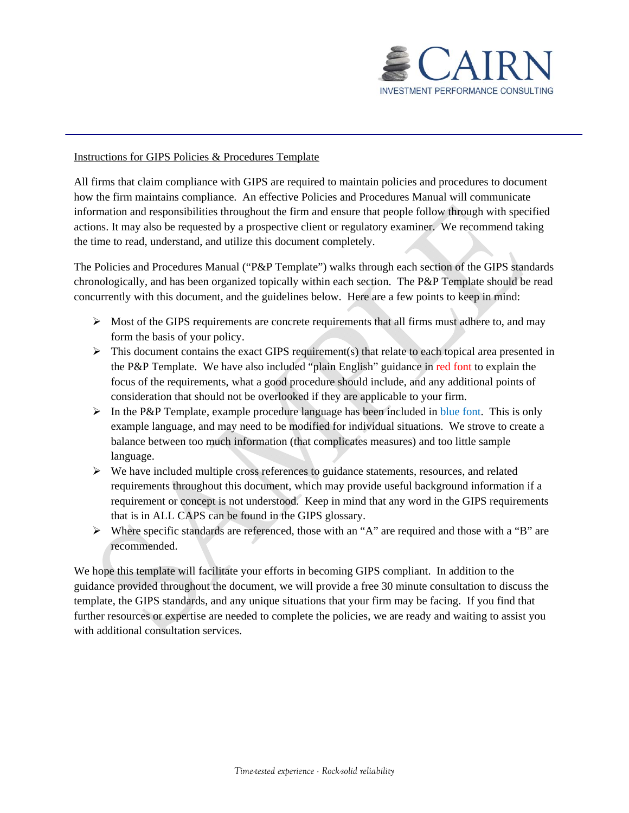

## Instructions for GIPS Policies & Procedures Template

All firms that claim compliance with GIPS are required to maintain policies and procedures to document how the firm maintains compliance. An effective Policies and Procedures Manual will communicate information and responsibilities throughout the firm and ensure that people follow through with specified actions. It may also be requested by a prospective client or regulatory examiner. We recommend taking the time to read, understand, and utilize this document completely.

The Policies and Procedures Manual ("P&P Template") walks through each section of the GIPS standards chronologically, and has been organized topically within each section. The P&P Template should be read concurrently with this document, and the guidelines below. Here are a few points to keep in mind:

- Most of the GIPS requirements are concrete requirements that all firms must adhere to, and may form the basis of your policy.
- $\triangleright$  This document contains the exact GIPS requirement(s) that relate to each topical area presented in the P&P Template. We have also included "plain English" guidance in red font to explain the focus of the requirements, what a good procedure should include, and any additional points of consideration that should not be overlooked if they are applicable to your firm.
- $\triangleright$  In the P&P Template, example procedure language has been included in blue font. This is only example language, and may need to be modified for individual situations. We strove to create a balance between too much information (that complicates measures) and too little sample language.
- $\triangleright$  We have included multiple cross references to guidance statements, resources, and related requirements throughout this document, which may provide useful background information if a requirement or concept is not understood. Keep in mind that any word in the GIPS requirements that is in ALL CAPS can be found in the GIPS glossary.
- $\triangleright$  Where specific standards are referenced, those with an "A" are required and those with a "B" are recommended.

We hope this template will facilitate your efforts in becoming GIPS compliant. In addition to the guidance provided throughout the document, we will provide a free 30 minute consultation to discuss the template, the GIPS standards, and any unique situations that your firm may be facing. If you find that further resources or expertise are needed to complete the policies, we are ready and waiting to assist you with additional consultation services.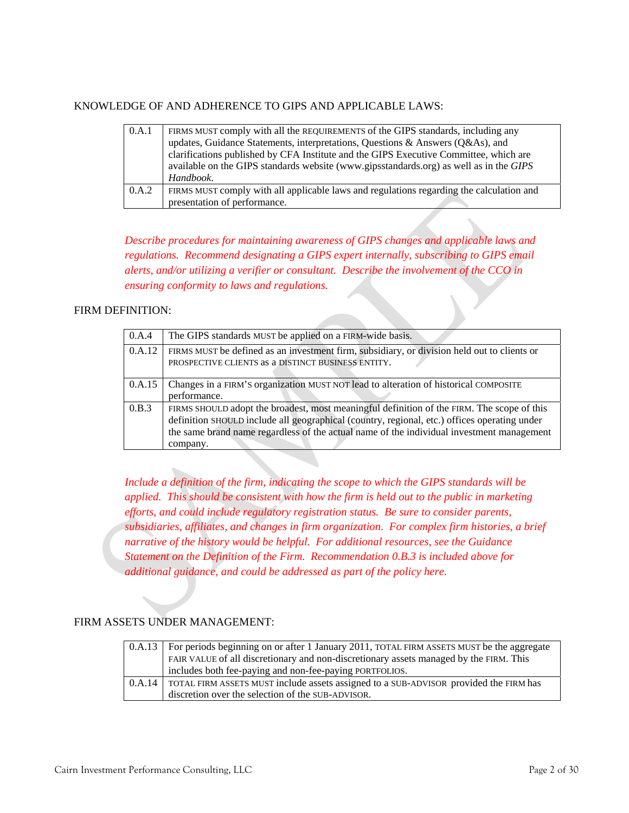## KNOWLEDGE OF AND ADHERENCE TO GIPS AND APPLICABLE LAWS:

| 0.A.1 | FIRMS MUST comply with all the REQUIREMENTS of the GIPS standards, including any         |
|-------|------------------------------------------------------------------------------------------|
|       | updates, Guidance Statements, interpretations, Questions & Answers (Q&As), and           |
|       | clarifications published by CFA Institute and the GIPS Executive Committee, which are    |
|       | available on the GIPS standards website (www.gipsstandards.org) as well as in the GIPS   |
|       | Handbook.                                                                                |
| 0.A.2 | FIRMS MUST comply with all applicable laws and regulations regarding the calculation and |
|       | presentation of performance.                                                             |

*Describe procedures for maintaining awareness of GIPS changes and applicable laws and regulations. Recommend designating a GIPS expert internally, subscribing to GIPS email alerts, and/or utilizing a verifier or consultant. Describe the involvement of the CCO in ensuring conformity to laws and regulations.*

## FIRM DEFINITION:

| 0.A.4  | The GIPS standards MUST be applied on a FIRM-wide basis.                                                                                                                                                                                                                                            |
|--------|-----------------------------------------------------------------------------------------------------------------------------------------------------------------------------------------------------------------------------------------------------------------------------------------------------|
| 0.A.12 | FIRMS MUST be defined as an investment firm, subsidiary, or division held out to clients or<br>PROSPECTIVE CLIENTS as a DISTINCT BUSINESS ENTITY.                                                                                                                                                   |
| 0.A.15 | Changes in a FIRM'S organization MUST NOT lead to alteration of historical COMPOSITE<br>performance.                                                                                                                                                                                                |
| 0.B.3  | FIRMS SHOULD adopt the broadest, most meaningful definition of the FIRM. The scope of this<br>definition SHOULD include all geographical (country, regional, etc.) offices operating under<br>the same brand name regardless of the actual name of the individual investment management<br>company. |

*Include a definition of the firm, indicating the scope to which the GIPS standards will be applied. This should be consistent with how the firm is held out to the public in marketing efforts, and could include regulatory registration status. Be sure to consider parents, subsidiaries, affiliates, and changes in firm organization. For complex firm histories, a brief narrative of the history would be helpful. For additional resources, see the Guidance Statement on the Definition of the Firm. Recommendation 0.B.3 is included above for additional guidance, and could be addressed as part of the policy here.* 

## FIRM ASSETS UNDER MANAGEMENT:

|        | 0.A.13   For periods beginning on or after 1 January 2011, TOTAL FIRM ASSETS MUST be the aggregate |
|--------|----------------------------------------------------------------------------------------------------|
|        | FAIR VALUE of all discretionary and non-discretionary assets managed by the FIRM. This             |
|        | includes both fee-paying and non-fee-paying PORTFOLIOS.                                            |
| 0.A.14 | TOTAL FIRM ASSETS MUST include assets assigned to a SUB-ADVISOR provided the FIRM has              |
|        | discretion over the selection of the SUB-ADVISOR.                                                  |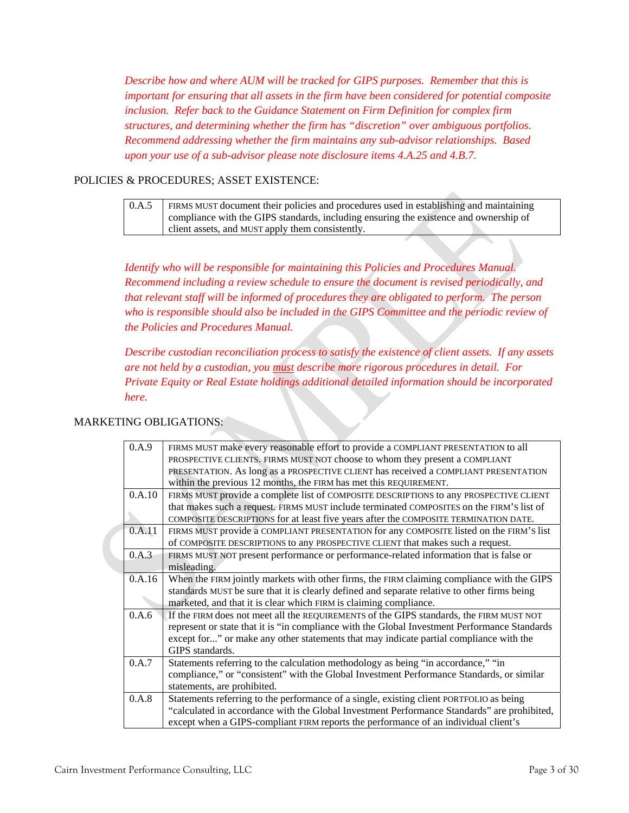*Describe how and where AUM will be tracked for GIPS purposes. Remember that this is important for ensuring that all assets in the firm have been considered for potential composite inclusion. Refer back to the Guidance Statement on Firm Definition for complex firm structures, and determining whether the firm has "discretion" over ambiguous portfolios. Recommend addressing whether the firm maintains any sub-advisor relationships. Based upon your use of a sub-advisor please note disclosure items 4.A.25 and 4.B.7.*

# POLICIES & PROCEDURES; ASSET EXISTENCE:

0.A.5 FIRMS MUST document their policies and procedures used in establishing and maintaining compliance with the GIPS standards, including ensuring the existence and ownership of client assets, and MUST apply them consistently.

*Identify who will be responsible for maintaining this Policies and Procedures Manual. Recommend including a review schedule to ensure the document is revised periodically, and that relevant staff will be informed of procedures they are obligated to perform. The person who is responsible should also be included in the GIPS Committee and the periodic review of the Policies and Procedures Manual.* 

 *Describe custodian reconciliation process to satisfy the existence of client assets. If any assets are not held by a custodian, you must describe more rigorous procedures in detail. For Private Equity or Real Estate holdings additional detailed information should be incorporated here.*

## MARKETING OBLIGATIONS:

| 0.A.9  | FIRMS MUST make every reasonable effort to provide a COMPLIANT PRESENTATION to all            |
|--------|-----------------------------------------------------------------------------------------------|
|        | PROSPECTIVE CLIENTS. FIRMS MUST NOT choose to whom they present a COMPLIANT                   |
|        | PRESENTATION. As long as a PROSPECTIVE CLIENT has received a COMPLIANT PRESENTATION           |
|        | within the previous 12 months, the FIRM has met this REQUIREMENT.                             |
| 0.A.10 | FIRMS MUST provide a complete list of COMPOSITE DESCRIPTIONS to any PROSPECTIVE CLIENT        |
|        | that makes such a request. FIRMS MUST include terminated COMPOSITES on the FIRM'S list of     |
|        | COMPOSITE DESCRIPTIONS for at least five years after the COMPOSITE TERMINATION DATE.          |
| 0.A.11 | FIRMS MUST provide a COMPLIANT PRESENTATION for any COMPOSITE listed on the FIRM'S list       |
|        | of COMPOSITE DESCRIPTIONS to any PROSPECTIVE CLIENT that makes such a request.                |
| 0.A.3  | FIRMS MUST NOT present performance or performance-related information that is false or        |
|        | misleading.                                                                                   |
| 0.A.16 | When the FIRM jointly markets with other firms, the FIRM claiming compliance with the GIPS    |
|        | standards MUST be sure that it is clearly defined and separate relative to other firms being  |
|        | marketed, and that it is clear which FIRM is claiming compliance.                             |
| 0.A.6  | If the FIRM does not meet all the REQUIREMENTS of the GIPS standards, the FIRM MUST NOT       |
|        | represent or state that it is "in compliance with the Global Investment Performance Standards |
|        | except for" or make any other statements that may indicate partial compliance with the        |
|        | GIPS standards.                                                                               |
| 0.A.7  | Statements referring to the calculation methodology as being "in accordance," "in             |
|        | compliance," or "consistent" with the Global Investment Performance Standards, or similar     |
|        | statements, are prohibited.                                                                   |
| 0.A.8  | Statements referring to the performance of a single, existing client PORTFOLIO as being       |
|        | "calculated in accordance with the Global Investment Performance Standards" are prohibited,   |
|        | except when a GIPS-compliant FIRM reports the performance of an individual client's           |